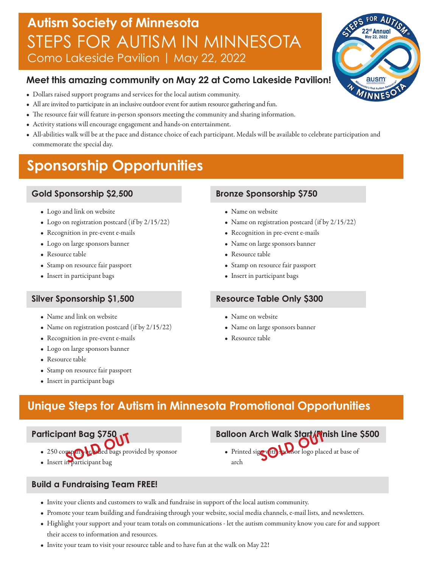## **Autism Society of Minnesota** STEPS FOR AUTISM IN MINNESOTA Como Lakeside Pavilion | May 22, 2022

#### **Meet this amazing community on May 22 at Como Lakeside Pavilion!**

- Dollars raised support programs and services for the local autism community.
- All are invited to participate in an inclusive outdoor event for autism resource gathering and fun.
- The resource fair will feature in-person sponsors meeting the community and sharing information.
- Activity stations will encourage engagement and hands-on entertainment.
- All-abilities walk will be at the pace and distance choice of each participant. Medals will be available to celebrate participation and commemorate the special day.

## **Sponsorship Opportunities**

#### **Gold Sponsorship \$2,500**

- Logo and link on website
- Logo on registration postcard (if by 2/15/22)
- Recognition in pre-event e-mails
- Logo on large sponsors banner
- Resource table
- Stamp on resource fair passport
- Insert in participant bags

#### **Silver Sponsorship \$1,500**

- Name and link on website
- Name on registration postcard (if by 2/15/22)
- Recognition in pre-event e-mails
- Logo on large sponsors banner
- Resource table
- Stamp on resource fair passport
- Insert in participant bags

#### **Bronze Sponsorship \$750**

- Name on website
- Name on registration postcard (if by 2/15/22)
- Recognition in pre-event e-mails
- Name on large sponsors banner
- Resource table
- Stamp on resource fair passport
- Insert in participant bags

#### **Resource Table Only \$300**

- Name on website
- Name on large sponsors banner
- Resource table

### **Unique Steps for Autism in Minnesota Promotional Opportunities**

**Participant Bag \$750**

- 250 company randed bags provided by sponsor **FINDER OF STREET IN PARTICIPANT BAG S/SOLD**<br>• 250 comparticipant bag
- 

#### **Balloon Arch Walk Start/Finish Line \$500**

• Printed sign with sponsor logo placed at base of arch **Ch Walk Start (fr**<br>SOLD OUT

- **Build a Fundraising Team FREE!**
	- Invite your clients and customers to walk and fundraise in support of the local autism community.
	- Promote your team building and fundraising through your website, social media channels, e-mail lists, and newsletters.
	- Highlight your support and your team totals on communications let the autism community know you care for and support their access to information and resources.
	- Invite your team to visit your resource table and to have fun at the walk on May 22!